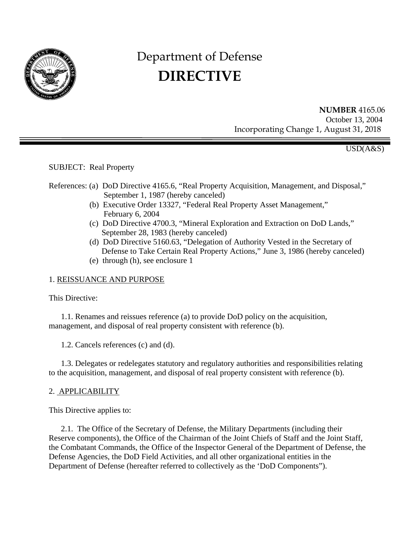

# Department of Defense **DIRECTIVE**

 **NUMBER** 4165.06 October 13, 2004 Incorporating Change 1, August 31, 2018

USD(A&S)

SUBJECT: Real Property

- References: (a) DoD Directive 4165.6, "Real Property Acquisition, Management, and Disposal," September 1, 1987 (hereby canceled)
	- (b) Executive Order 13327, "Federal Real Property Asset Management," February 6, 2004
	- (c) DoD Directive 4700.3, "Mineral Exploration and Extraction on DoD Lands," September 28, 1983 (hereby canceled)
	- (d) DoD Directive 5160.63, "Delegation of Authority Vested in the Secretary of Defense to Take Certain Real Property Actions," June 3, 1986 (hereby canceled)
	- (e) through (h), see enclosure 1

# 1. REISSUANCE AND PURPOSE

This Directive:

1.1. Renames and reissues reference (a) to provide DoD policy on the acquisition, management, and disposal of real property consistent with reference (b).

1.2. Cancels references (c) and (d).

1.3. Delegates or redelegates statutory and regulatory authorities and responsibilities relating to the acquisition, management, and disposal of real property consistent with reference (b).

# 2. APPLICABILITY

This Directive applies to:

2.1. The Office of the Secretary of Defense, the Military Departments (including their Reserve components), the Office of the Chairman of the Joint Chiefs of Staff and the Joint Staff, the Combatant Commands, the Office of the Inspector General of the Department of Defense, the Defense Agencies, the DoD Field Activities, and all other organizational entities in the Department of Defense (hereafter referred to collectively as the 'DoD Components").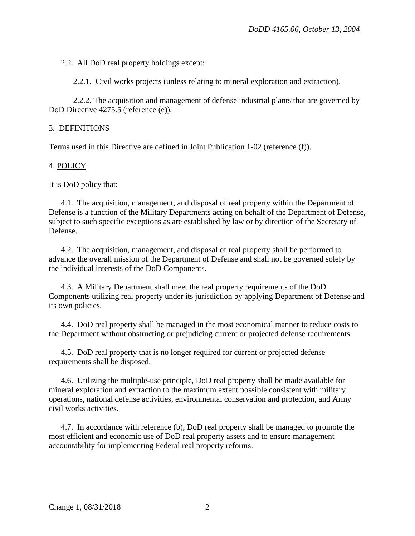2.2. All DoD real property holdings except:

2.2.1. Civil works projects (unless relating to mineral exploration and extraction).

2.2.2. The acquisition and management of defense industrial plants that are governed by DoD Directive 4275.5 (reference (e)).

#### 3. DEFINITIONS

Terms used in this Directive are defined in Joint Publication 1-02 (reference (f)).

#### 4. POLICY

It is DoD policy that:

4.1. The acquisition, management, and disposal of real property within the Department of Defense is a function of the Military Departments acting on behalf of the Department of Defense, subject to such specific exceptions as are established by law or by direction of the Secretary of Defense.

4.2. The acquisition, management, and disposal of real property shall be performed to advance the overall mission of the Department of Defense and shall not be governed solely by the individual interests of the DoD Components.

4.3. A Military Department shall meet the real property requirements of the DoD Components utilizing real property under its jurisdiction by applying Department of Defense and its own policies.

4.4. DoD real property shall be managed in the most economical manner to reduce costs to the Department without obstructing or prejudicing current or projected defense requirements.

4.5. DoD real property that is no longer required for current or projected defense requirements shall be disposed.

4.6. Utilizing the multiple-use principle, DoD real property shall be made available for mineral exploration and extraction to the maximum extent possible consistent with military operations, national defense activities, environmental conservation and protection, and Army civil works activities.

4.7. In accordance with reference (b), DoD real property shall be managed to promote the most efficient and economic use of DoD real property assets and to ensure management accountability for implementing Federal real property reforms.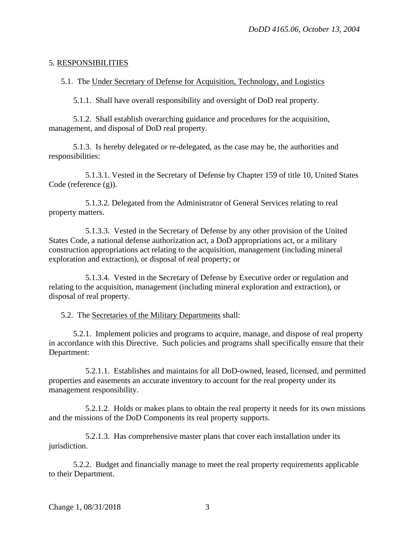#### 5. RESPONSIBILITIES

5.1. The Under Secretary of Defense for Acquisition, Technology, and Logistics

5.1.1. Shall have overall responsibility and oversight of DoD real property.

5.1.2. Shall establish overarching guidance and procedures for the acquisition, management, and disposal of DoD real property.

5.1.3. Is hereby delegated or re-delegated, as the case may be, the authorities and responsibilities:

5.1.3.1. Vested in the Secretary of Defense by Chapter 159 of title 10, United States Code (reference (g)).

5.1.3.2. Delegated from the Administrator of General Services relating to real property matters.

5.1.3.3. Vested in the Secretary of Defense by any other provision of the United States Code, a national defense authorization act, a DoD appropriations act, or a military construction appropriations act relating to the acquisition, management (including mineral exploration and extraction), or disposal of real property; or

5.1.3.4. Vested in the Secretary of Defense by Executive order or regulation and relating to the acquisition, management (including mineral exploration and extraction), or disposal of real property.

5.2. The Secretaries of the Military Departments shall:

5.2.1. Implement policies and programs to acquire, manage, and dispose of real property in accordance with this Directive. Such policies and programs shall specifically ensure that their Department:

5.2.1.1. Establishes and maintains for all DoD-owned, leased, licensed, and permitted properties and easements an accurate inventory to account for the real property under its management responsibility.

5.2.1.2. Holds or makes plans to obtain the real property it needs for its own missions and the missions of the DoD Components its real property supports.

5.2.1.3. Has comprehensive master plans that cover each installation under its jurisdiction.

5.2.2. Budget and financially manage to meet the real property requirements applicable to their Department.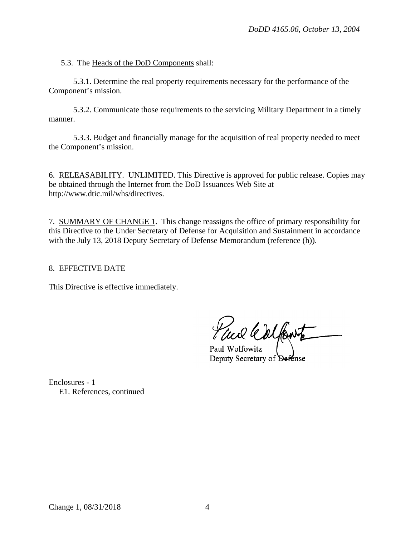5.3. The Heads of the DoD Components shall:

5.3.1. Determine the real property requirements necessary for the performance of the Component's mission.

5.3.2. Communicate those requirements to the servicing Military Department in a timely manner.

5.3.3. Budget and financially manage for the acquisition of real property needed to meet the Component's mission.

6. RELEASABILITY. UNLIMITED. This Directive is approved for public release. Copies may be obtained through the Internet from the DoD Issuances Web Site at http://www.dtic.mil/whs/directives.

7. SUMMARY OF CHANGE 1. This change reassigns the office of primary responsibility for this Directive to the Under Secretary of Defense for Acquisition and Sustainment in accordance with the July 13, 2018 Deputy Secretary of Defense Memorandum (reference (h)).

### 8. EFFECTIVE DATE

This Directive is effective immediately.

aul Colfont

Paul Wolfowitz Deputy Secretary of Defense

Enclosures - 1 E1. References, continued